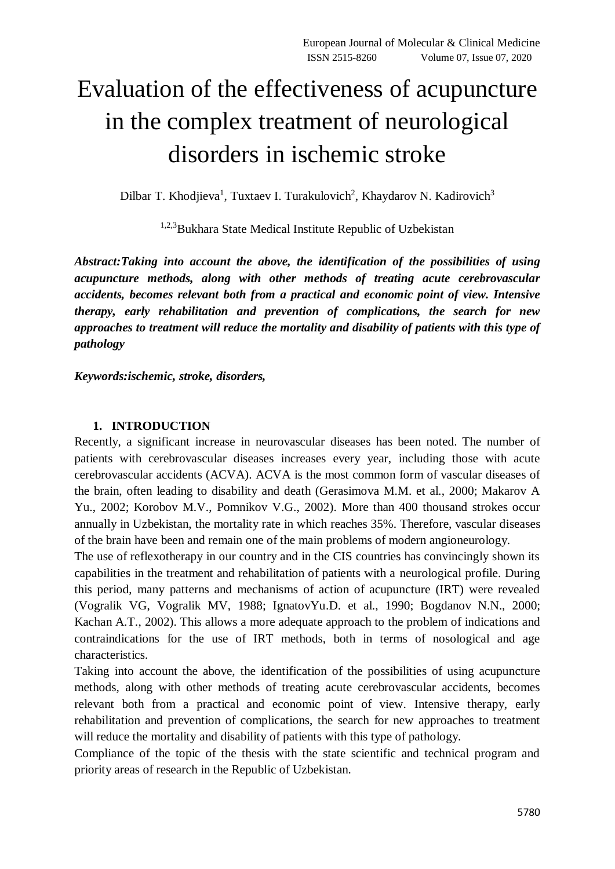## Evaluation of the effectiveness of acupuncture in the complex treatment of neurological disorders in ischemic stroke

Dilbar T. Khodjieva<sup>1</sup>, Tuxtaev I. Turakulovich<sup>2</sup>, Khaydarov N. Kadirovich<sup>3</sup>

1,2,3Bukhara State Medical Institute Republic of Uzbekistan

*Abstract:Taking into account the above, the identification of the possibilities of using acupuncture methods, along with other methods of treating acute cerebrovascular accidents, becomes relevant both from a practical and economic point of view. Intensive therapy, early rehabilitation and prevention of complications, the search for new approaches to treatment will reduce the mortality and disability of patients with this type of pathology*

*Keywords:ischemic, stroke, disorders,* 

## **1. INTRODUCTION**

Recently, a significant increase in neurovascular diseases has been noted. The number of patients with cerebrovascular diseases increases every year, including those with acute cerebrovascular accidents (ACVA). ACVA is the most common form of vascular diseases of the brain, often leading to disability and death (Gerasimova M.M. et al., 2000; Makarov A Yu., 2002; Korobov M.V., Pomnikov V.G., 2002). More than 400 thousand strokes occur annually in Uzbekistan, the mortality rate in which reaches 35%. Therefore, vascular diseases of the brain have been and remain one of the main problems of modern angioneurology.

The use of reflexotherapy in our country and in the CIS countries has convincingly shown its capabilities in the treatment and rehabilitation of patients with a neurological profile. During this period, many patterns and mechanisms of action of acupuncture (IRT) were revealed (Vogralik VG, Vogralik MV, 1988; IgnatovYu.D. et al., 1990; Bogdanov N.N., 2000; Kachan A.T., 2002). This allows a more adequate approach to the problem of indications and contraindications for the use of IRT methods, both in terms of nosological and age characteristics.

Taking into account the above, the identification of the possibilities of using acupuncture methods, along with other methods of treating acute cerebrovascular accidents, becomes relevant both from a practical and economic point of view. Intensive therapy, early rehabilitation and prevention of complications, the search for new approaches to treatment will reduce the mortality and disability of patients with this type of pathology.

Compliance of the topic of the thesis with the state scientific and technical program and priority areas of research in the Republic of Uzbekistan.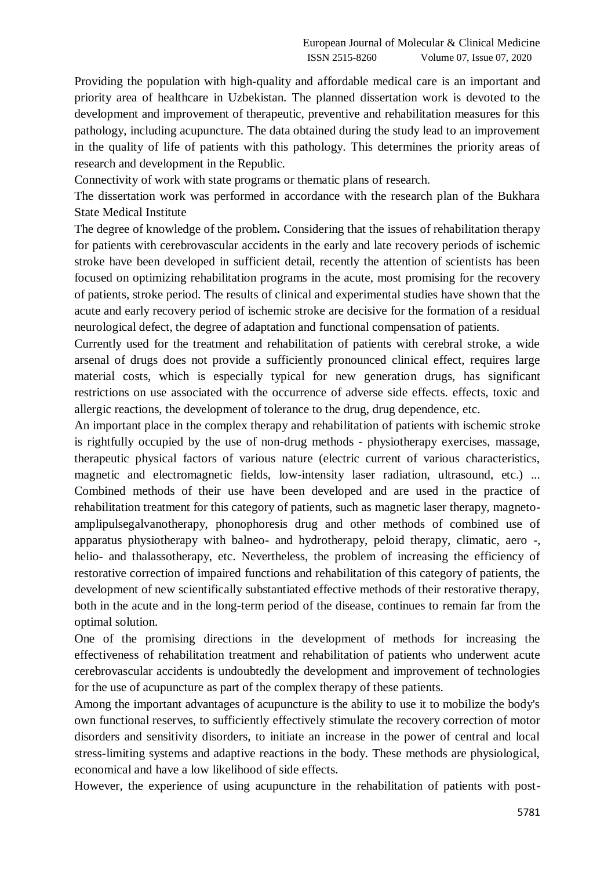Providing the population with high-quality and affordable medical care is an important and priority area of healthcare in Uzbekistan. The planned dissertation work is devoted to the development and improvement of therapeutic, preventive and rehabilitation measures for this pathology, including acupuncture. The data obtained during the study lead to an improvement in the quality of life of patients with this pathology. This determines the priority areas of research and development in the Republic.

Connectivity of work with state programs or thematic plans of research.

The dissertation work was performed in accordance with the research plan of the Bukhara State Medical Institute

The degree of knowledge of the problem**.** Considering that the issues of rehabilitation therapy for patients with cerebrovascular accidents in the early and late recovery periods of ischemic stroke have been developed in sufficient detail, recently the attention of scientists has been focused on optimizing rehabilitation programs in the acute, most promising for the recovery of patients, stroke period. The results of clinical and experimental studies have shown that the acute and early recovery period of ischemic stroke are decisive for the formation of a residual neurological defect, the degree of adaptation and functional compensation of patients.

Currently used for the treatment and rehabilitation of patients with cerebral stroke, a wide arsenal of drugs does not provide a sufficiently pronounced clinical effect, requires large material costs, which is especially typical for new generation drugs, has significant restrictions on use associated with the occurrence of adverse side effects. effects, toxic and allergic reactions, the development of tolerance to the drug, drug dependence, etc.

An important place in the complex therapy and rehabilitation of patients with ischemic stroke is rightfully occupied by the use of non-drug methods - physiotherapy exercises, massage, therapeutic physical factors of various nature (electric current of various characteristics, magnetic and electromagnetic fields, low-intensity laser radiation, ultrasound, etc.) ... Combined methods of their use have been developed and are used in the practice of rehabilitation treatment for this category of patients, such as magnetic laser therapy, magnetoamplipulsegalvanotherapy, phonophoresis drug and other methods of combined use of apparatus physiotherapy with balneo- and hydrotherapy, peloid therapy, climatic, aero -, helio- and thalassotherapy, etc. Nevertheless, the problem of increasing the efficiency of restorative correction of impaired functions and rehabilitation of this category of patients, the development of new scientifically substantiated effective methods of their restorative therapy, both in the acute and in the long-term period of the disease, continues to remain far from the optimal solution.

One of the promising directions in the development of methods for increasing the effectiveness of rehabilitation treatment and rehabilitation of patients who underwent acute cerebrovascular accidents is undoubtedly the development and improvement of technologies for the use of acupuncture as part of the complex therapy of these patients.

Among the important advantages of acupuncture is the ability to use it to mobilize the body's own functional reserves, to sufficiently effectively stimulate the recovery correction of motor disorders and sensitivity disorders, to initiate an increase in the power of central and local stress-limiting systems and adaptive reactions in the body. These methods are physiological, economical and have a low likelihood of side effects.

However, the experience of using acupuncture in the rehabilitation of patients with post-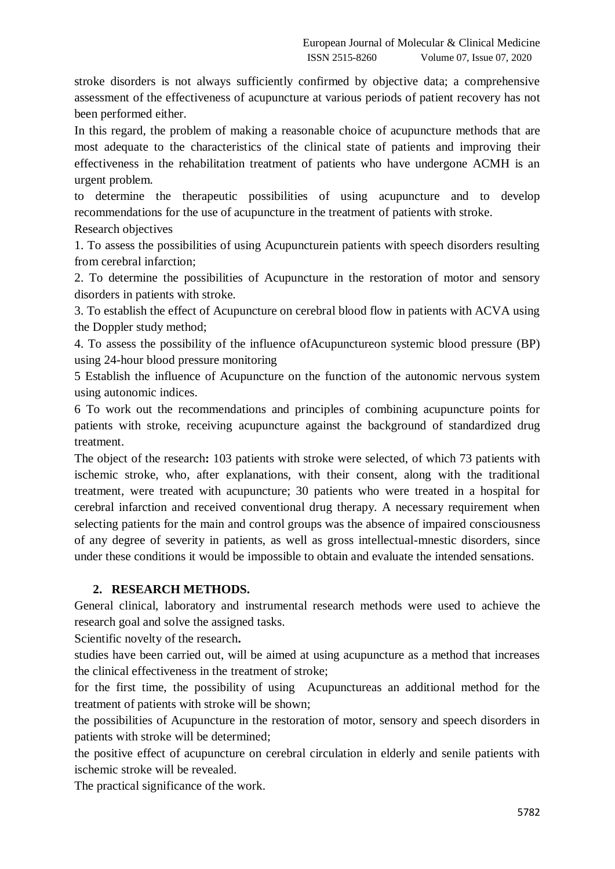stroke disorders is not always sufficiently confirmed by objective data; a comprehensive assessment of the effectiveness of acupuncture at various periods of patient recovery has not been performed either.

In this regard, the problem of making a reasonable choice of acupuncture methods that are most adequate to the characteristics of the clinical state of patients and improving their effectiveness in the rehabilitation treatment of patients who have undergone ACMH is an urgent problem.

to determine the therapeutic possibilities of using acupuncture and to develop recommendations for the use of acupuncture in the treatment of patients with stroke.

Research objectives

1. To assess the possibilities of using Acupuncturein patients with speech disorders resulting from cerebral infarction;

2. To determine the possibilities of Acupuncture in the restoration of motor and sensory disorders in patients with stroke.

3. To establish the effect of Acupuncture on cerebral blood flow in patients with ACVA using the Doppler study method;

4. To assess the possibility of the influence ofAcupunctureon systemic blood pressure (BP) using 24-hour blood pressure monitoring

5 Establish the influence of Acupuncture on the function of the autonomic nervous system using autonomic indices.

6 To work out the recommendations and principles of combining acupuncture points for patients with stroke, receiving acupuncture against the background of standardized drug treatment.

The object of the research**:** 103 patients with stroke were selected, of which 73 patients with ischemic stroke, who, after explanations, with their consent, along with the traditional treatment, were treated with acupuncture; 30 patients who were treated in a hospital for cerebral infarction and received conventional drug therapy. A necessary requirement when selecting patients for the main and control groups was the absence of impaired consciousness of any degree of severity in patients, as well as gross intellectual-mnestic disorders, since under these conditions it would be impossible to obtain and evaluate the intended sensations.

## **2. RESEARCH METHODS.**

General clinical, laboratory and instrumental research methods were used to achieve the research goal and solve the assigned tasks.

Scientific novelty of the research**.**

studies have been carried out, will be aimed at using acupuncture as a method that increases the clinical effectiveness in the treatment of stroke;

for the first time, the possibility of using Acupunctureas an additional method for the treatment of patients with stroke will be shown;

the possibilities of Acupuncture in the restoration of motor, sensory and speech disorders in patients with stroke will be determined;

the positive effect of acupuncture on cerebral circulation in elderly and senile patients with ischemic stroke will be revealed.

The practical significance of the work.